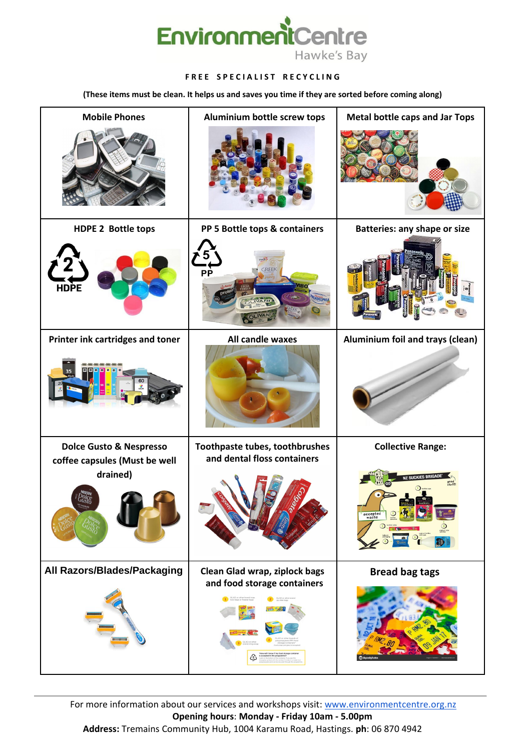

#### **FREE SPECIALIST RECYCLING**

For more information about our services and workshops visit: [www.environmentcentre.org.nz](http://www.environmentcentre.org.nz/) **Opening hours**: **Monday - Friday 10am - 5.00pm Address:** Tremains Community Hub, 1004 Karamu Road, Hastings. **ph**: 06 870 4942

**(These items must be clean. It helps us and saves you time if they are sorted before coming along)**

| <b>Mobile Phones</b>                               | <b>Aluminium bottle screw tops</b>                            | <b>Metal bottle caps and Jar Tops</b>                                                      |
|----------------------------------------------------|---------------------------------------------------------------|--------------------------------------------------------------------------------------------|
|                                                    |                                                               |                                                                                            |
| <b>HDPE 2 Bottle tops</b>                          | PP 5 Bottle tops & containers                                 | <b>Batteries: any shape or size</b>                                                        |
| <b>HDPE</b>                                        | GREEK<br><b>PP</b><br>IB O<br>ILADELPHIA                      |                                                                                            |
| Printer ink cartridges and toner                   | All candle waxes                                              | Aluminium foil and trays (clean)                                                           |
| 图图图<br>35<br>60                                    |                                                               |                                                                                            |
| <b>Dolce Gusto &amp; Nespresso</b>                 | Toothpaste tubes, toothbrushes<br>and dental floss containers | <b>Collective Range:</b>                                                                   |
| coffee capsules (Must be well<br>drained)<br>lusti |                                                               | <b>NZ SUCKIES BRIGADE</b><br>good<br>stuff!<br>accepted<br>waste<br>$\bigodot$ yoghurt tub |

## **All Razors/Blades/Packaging Clean Glad wrap, ziplock bags**



**and food storage containers**



## **Bread bag tags**

 $\mathbf{I}$